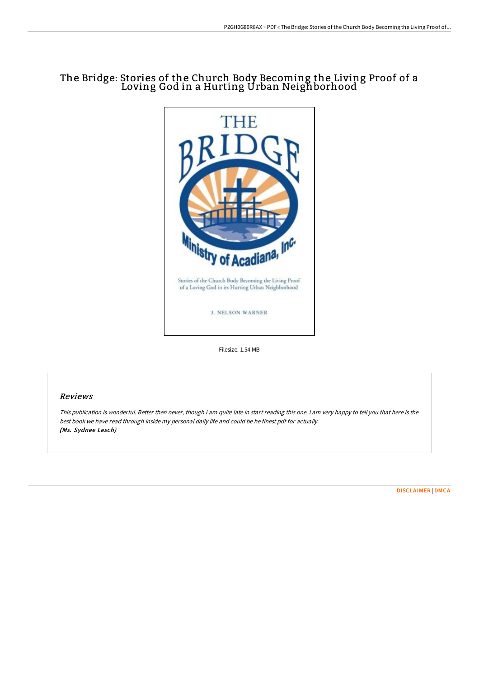# The Bridge: Stories of the Church Body Becoming the Living Proof of a Loving God in a Hurting Urban Neighborhood



Filesize: 1.54 MB

## Reviews

This publication is wonderful. Better then never, though i am quite late in start reading this one. <sup>I</sup> am very happy to tell you that here is the best book we have read through inside my personal daily life and could be he finest pdf for actually. (Ms. Sydnee Lesch)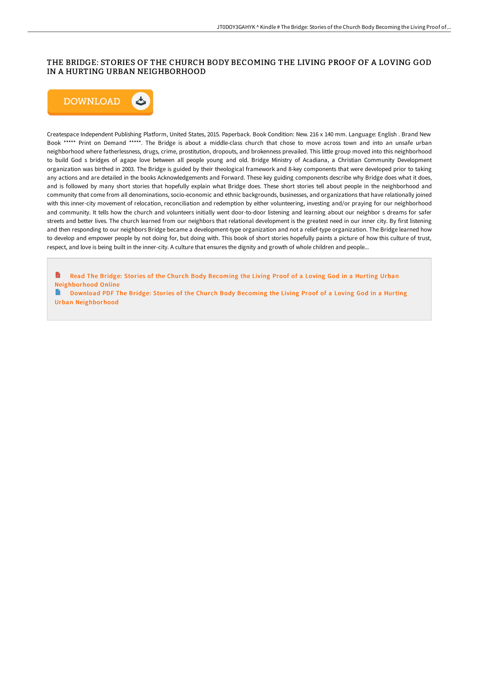# THE BRIDGE: STORIES OF THE CHURCH BODY BECOMING THE LIVING PROOF OF A LOVING GOD IN A HURTING URBAN NEIGHBORHOOD



Createspace Independent Publishing Platform, United States, 2015. Paperback. Book Condition: New. 216 x 140 mm. Language: English . Brand New Book \*\*\*\*\* Print on Demand \*\*\*\*\*. The Bridge is about a middle-class church that chose to move across town and into an unsafe urban neighborhood where fatherlessness, drugs, crime, prostitution, dropouts, and brokenness prevailed. This little group moved into this neighborhood to build God s bridges of agape love between all people young and old. Bridge Ministry of Acadiana, a Christian Community Development organization was birthed in 2003. The Bridge is guided by their theological framework and 8-key components that were developed prior to taking any actions and are detailed in the books Acknowledgements and Forward. These key guiding components describe why Bridge does what it does, and is followed by many short stories that hopefully explain what Bridge does. These short stories tell about people in the neighborhood and community that come from all denominations, socio-economic and ethnic backgrounds, businesses, and organizations that have relationally joined with this inner-city movement of relocation, reconciliation and redemption by either volunteering, investing and/or praying for our neighborhood and community. It tells how the church and volunteers initially went door-to-door listening and learning about our neighbor s dreams for safer streets and better lives. The church learned from our neighbors that relational development is the greatest need in our inner city. By first listening and then responding to our neighbors Bridge became a development-type organization and not a relief-type organization. The Bridge learned how to develop and empower people by not doing for, but doing with. This book of short stories hopefully paints a picture of how this culture of trust, respect, and love is being built in the inner-city. A culture that ensures the dignity and growth of whole children and people...

Read The Bridge: Stories of the Church Body Becoming the Living Proof of a Loving God in a Hurting Urban [Neighborhood](http://albedo.media/the-bridge-stories-of-the-church-body-becoming-t.html) Online

Download PDF The Bridge: Stories of the Church Body Becoming the Living Proof of a Loving God in a Hurting Urban [Neighborhood](http://albedo.media/the-bridge-stories-of-the-church-body-becoming-t.html)